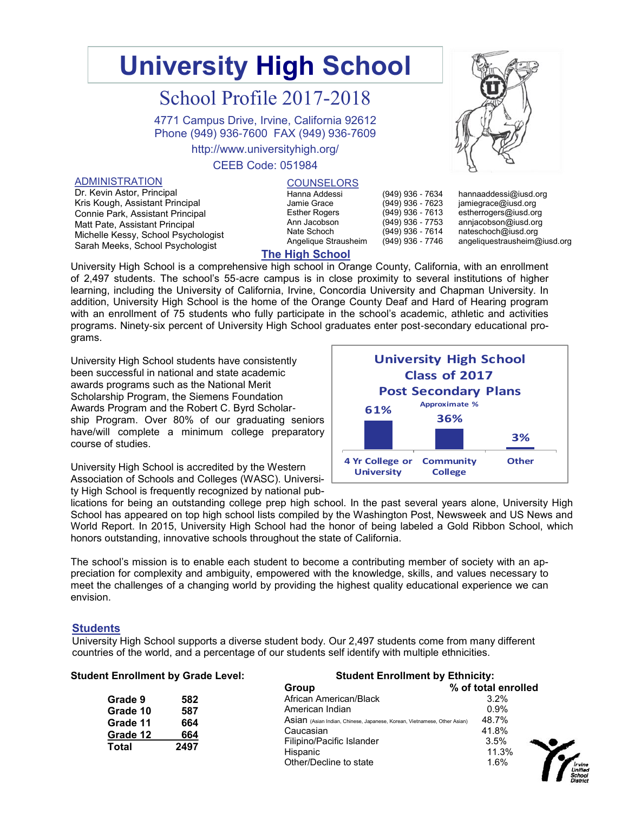# **University High School**

## School Profile 2017-2018

4771 Campus Drive, Irvine, California 92612 Phone (949) 936-7600 FAX (949) 936-7609

http://www.universityhigh.org/

#### CEEB Code: 051984

#### ADMINISTRATION

Dr. Kevin Astor, Principal Kris Kough, Assistant Principal Connie Park, Assistant Principal Matt Pate, Assistant Principal Michelle Kessy, School Psychologist Sarah Meeks, School Psychologist

#### **COUNSELORS**

| Hanna Addessi        |
|----------------------|
| Jamie Grace          |
| <b>Esther Rogers</b> |
| Ann Jacobson         |
| Nate Schoch          |
| Angelique Strausheim |
|                      |

hannaaddessi@iusd.org jamiegrace@iusd.org estherrogers@iusd.org annjacobson@iusd.org

nateschoch@iusd.org angeliquestrausheim@iusd.org

## **The High School**

University High School is a comprehensive high school in Orange County, California, with an enrollment of 2,497 students. The school's 55-acre campus is in close proximity to several institutions of higher learning, including the University of California, Irvine, Concordia University and Chapman University. In addition, University High School is the home of the Orange County Deaf and Hard of Hearing program with an enrollment of 75 students who fully participate in the school's academic, athletic and activities programs. Ninety-six percent of University High School graduates enter post-secondary educational programs.

University High School students have consistently been successful in national and state academic awards programs such as the National Merit Scholarship Program, the Siemens Foundation Awards Program and the Robert C. Byrd Scholarship Program. Over 80% of our graduating seniors have/will complete a minimum college preparatory course of studies.

University High School is accredited by the Western Association of Schools and Colleges (WASC). University High School is frequently recognized by national pub-



(949) 936 - 7634 (949) 936 - 7623 (949) 936 - 7613 (949) 936 - 7753 (949) 936 - 7614 (949) 936 - 7746

lications for being an outstanding college prep high school. In the past several years alone, University High School has appeared on top high school lists compiled by the Washington Post, Newsweek and US News and World Report. In 2015, University High School had the honor of being labeled a Gold Ribbon School, which honors outstanding, innovative schools throughout the state of California.

The school's mission is to enable each student to become a contributing member of society with an appreciation for complexity and ambiguity, empowered with the knowledge, skills, and values necessary to meet the challenges of a changing world by providing the highest quality educational experience we can envision.

#### **Students**

University High School supports a diverse student body. Our 2,497 students come from many different countries of the world, and a percentage of our students self identify with multiple ethnicities.

| <b>Student Enrollment by Grade Level:</b> |      | <b>Student Enrollment by Ethnicity:</b>                                  |                     |  |  |
|-------------------------------------------|------|--------------------------------------------------------------------------|---------------------|--|--|
|                                           |      | Group                                                                    | % of total enrolled |  |  |
| Grade 9                                   | 582  | African American/Black                                                   | 3.2%                |  |  |
| Grade 10                                  | 587  | American Indian                                                          | 0.9%                |  |  |
| Grade 11                                  | 664  | Asian (Asian Indian, Chinese, Japanese, Korean, Vietnamese, Other Asian) | 48.7%               |  |  |
| Grade 12                                  | 664  | Caucasian                                                                | 41.8%               |  |  |
| Total                                     | 2497 | Filipino/Pacific Islander                                                | 3.5%                |  |  |
|                                           |      | Hispanic                                                                 | 11.3%               |  |  |
|                                           |      | Other/Decline to state                                                   | 1.6%                |  |  |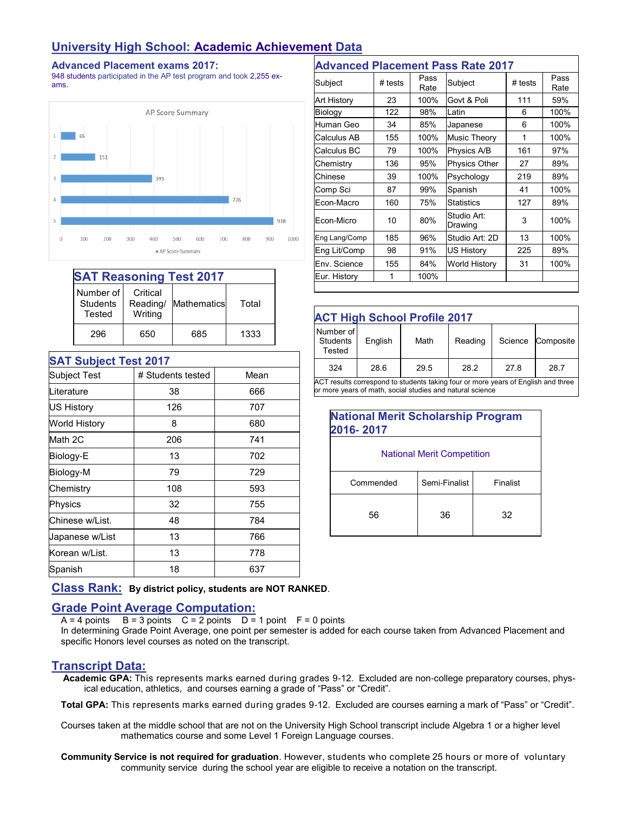## **University High School: Academic Achievement Data**

#### **Advanced Placement exams 2017:**

948 students participated in the AP test program and took 2,255 exams.



| <b>SAT Reasoning Test 2017</b>         |                                 |             |       |  |  |
|----------------------------------------|---------------------------------|-------------|-------|--|--|
| Number of<br><b>Students</b><br>Tested | Critical<br>Reading/<br>Writing | Mathematics | Total |  |  |
| 296                                    | 650                             | 685         | 1333  |  |  |

| <b>SAT Subject Test 2017</b> |                   |      |
|------------------------------|-------------------|------|
| Subject Test                 | # Students tested | Mean |
| Literature                   | 38                | 666  |
| US History                   | 126               | 707  |
| World History                | 8                 | 680  |
| Math 2C                      | 206               | 741  |
| Biology-E                    | 13                | 702  |
| Biology-M                    | 79                | 729  |
| Chemistry                    | 108               | 593  |
| Physics                      | 32                | 755  |
| Chinese w/List.              | 48                | 784  |
| Japanese w/List              | 13                | 766  |
| Korean w/List.               | 13                | 778  |
| Spanish                      | 18                | 637  |

|               |         |              | <b>Advanced Placement Pass Rate 2017</b> |         |              |
|---------------|---------|--------------|------------------------------------------|---------|--------------|
| Subject       | # tests | Pass<br>Rate | Subject                                  | # tests | Pass<br>Rate |
| Art History   | 23      | 100%         | Govt & Poli                              | 111     | 59%          |
| Biology       | 122     | 98%          | Latin                                    | 6       | 100%         |
| Human Geo     | 34      | 85%          | Japanese                                 | 6       | 100%         |
| Calculus AB   | 155     | 100%         | Music Theory                             | 1       | 100%         |
| Calculus BC   | 79      | 100%         | Physics A/B                              | 161     | 97%          |
| Chemistry     | 136     | 95%          | <b>Physics Other</b>                     | 27      | 89%          |
| Chinese       | 39      | 100%         | Psychology                               | 219     | 89%          |
| Comp Sci      | 87      | 99%          | Spanish                                  | 41      | 100%         |
| Econ-Macro    | 160     | 75%          | <b>Statistics</b>                        | 127     | 89%          |
| Econ-Micro    | 10      | 80%          | Studio Art:<br>Drawing                   | 3       | 100%         |
| Eng Lang/Comp | 185     | 96%          | Studio Art: 2D                           | 13      | 100%         |
| Eng Lit/Comp  | 98      | 91%          | <b>US History</b>                        | 225     | 89%          |
| Env. Science  | 155     | 84%          | World History                            | 31      | 100%         |
| Eur. History  |         | 100%         |                                          |         |              |

| <b>ACT High School Profile 2017</b>                                                                                                            |         |      |         |         |           |  |  |
|------------------------------------------------------------------------------------------------------------------------------------------------|---------|------|---------|---------|-----------|--|--|
| Number of<br><b>Students</b><br>Tested                                                                                                         | English | Math | Reading | Science | Composite |  |  |
| 324                                                                                                                                            | 28.6    | 29.5 | 28.2    | 27.8    | 28.7      |  |  |
| ACT results correspond to students taking four or more years of English and three<br>or more years of math, social studies and natural science |         |      |         |         |           |  |  |

| <b>National Merit Scholarship Program</b><br>2016-2017 |               |          |  |  |
|--------------------------------------------------------|---------------|----------|--|--|
| <b>National Merit Competition</b>                      |               |          |  |  |
| Commended                                              | Semi-Finalist | Finalist |  |  |
| 56                                                     | 36            | 32       |  |  |

**Class Rank: By district policy, students are NOT RANKED**.

## **Grade Point Average Computation:**

 $A = 4$  points  $B = 3$  points  $C = 2$  points  $D = 1$  point  $F = 0$  points

In determining Grade Point Average, one point per semester is added for each course taken from Advanced Placement and specific Honors level courses as noted on the transcript.

## **Transcript Data:**

 **Academic GPA:** This represents marks earned during grades 9-12. Excluded are non-college preparatory courses, physical education, athletics, and courses earning a grade of "Pass" or "Credit".

**Total GPA:** This represents marks earned during grades 9-12. Excluded are courses earning a mark of "Pass" or "Credit".

Courses taken at the middle school that are not on the University High School transcript include Algebra 1 or a higher level mathematics course and some Level 1 Foreign Language courses.

**Community Service is not required for graduation**. However, students who complete 25 hours or more of voluntary community service during the school year are eligible to receive a notation on the transcript.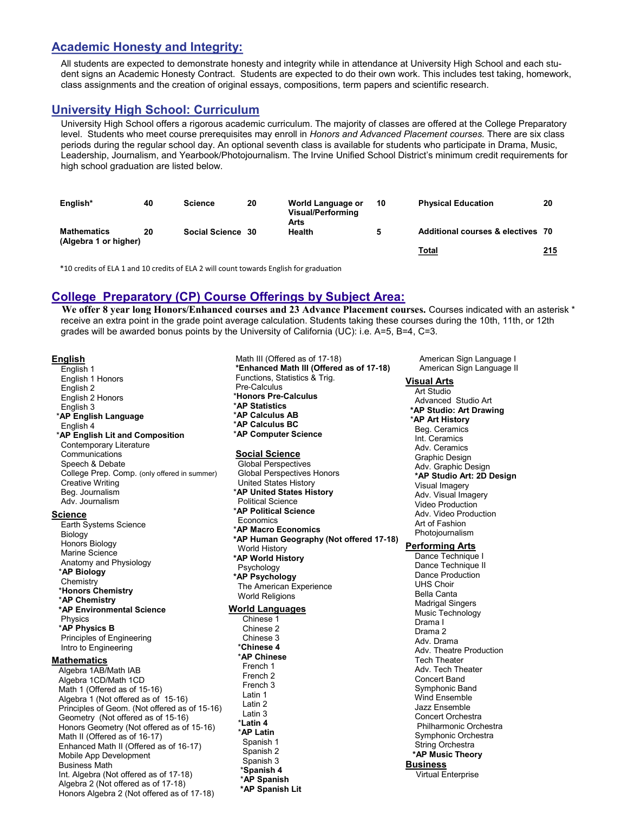## **Academic Honesty and Integrity:**

All students are expected to demonstrate honesty and integrity while in attendance at University High School and each student signs an Academic Honesty Contract. Students are expected to do their own work. This includes test taking, homework, class assignments and the creation of original essays, compositions, term papers and scientific research.

## **University High School: Curriculum**

University High School offers a rigorous academic curriculum. The majority of classes are offered at the College Preparatory level. Students who meet course prerequisites may enroll in *Honors and Advanced Placement courses.* There are six class periods during the regular school day. An optional seventh class is available for students who participate in Drama, Music, Leadership, Journalism, and Yearbook/Photojournalism. The Irvine Unified School District's minimum credit requirements for high school graduation are listed below.

| English*                                    | 40 | <b>Science</b>    | 20 | World Language or<br><b>Visual/Performing</b><br>Arts | 10 | <b>Physical Education</b>         | 20  |
|---------------------------------------------|----|-------------------|----|-------------------------------------------------------|----|-----------------------------------|-----|
| <b>Mathematics</b><br>(Algebra 1 or higher) | 20 | Social Science 30 |    | Health                                                | 5  | Additional courses & electives 70 |     |
|                                             |    |                   |    |                                                       |    | Total                             | 215 |

\*10 credits of ELA 1 and 10 credits of ELA 2 will count towards English for graduation

## **College Preparatory (CP) Course Offerings by Subject Area:**

**We offer 8 year long Honors/Enhanced courses and 23 Advance Placement courses.** Courses indicated with an asterisk \* receive an extra point in the grade point average calculation. Students taking these courses during the 10th, 11th, or 12th grades will be awarded bonus points by the University of California (UC): i.e. A=5, B=4, C=3.

#### **English**

English 1 English 1 Honors English 2 English 2 Honors English 3 \***AP English Language** English 4 \***AP English Lit and Composition** Contemporary Literature **Communications** Speech & Debate College Prep. Comp. (only offered in summer) Creative Writing Beg. Journalism Adv. Journalism **Science** Earth Systems Science

Biology Honors Biology Marine Science Anatomy and Physiology \***AP Biology** Chemistry \***Honors Chemistry** \***AP Chemistry \*AP Environmental Science** Physics \***AP Physics B** Principles of Engineering Intro to Engineering

#### **Mathematics**

Algebra 1AB/Math IAB Algebra 1CD/Math 1CD Math 1 (Offered as of 15-16) Algebra 1 (Not offered as of 15-16) Principles of Geom. (Not offered as of 15-16) Geometry (Not offered as of 15-16) Honors Geometry (Not offered as of 15-16) Math II (Offered as of 16-17) Enhanced Math II (Offered as of 16-17) Mobile App Development Business Math Int. Algebra (Not offered as of 17-18) Algebra 2 (Not offered as of 17-18) Honors Algebra 2 (Not offered as of 17-18)

Math III (Offered as of 17-18) **\*Enhanced Math III (Offered as of 17-18)** Functions, Statistics & Trig. Pre-Calculus \***Honors Pre-Calculus**  \***AP Statistics** \***AP Calculus AB** \***AP Calculus BC** \***AP Computer Science Social Science** Global Perspectives Global Perspectives Honors United States History \***AP United States History** Political Science \***AP Political Science** Economics \***AP Macro Economics \*AP Human Geography (Not offered 17-18)** World History **\*AP World History** Psychology **\*AP Psychology** The American Experience World Religions **World Languages** Chinese 1 Chinese 2 Chinese 3 \***Chinese 4**  \***AP Chinese** French 1 French 2 French 3 Latin 1 Latin 2 Latin 3 \***Latin 4**  \***AP Latin** Spanish 1 Spanish 2 Spanish 3 \***Spanish 4**  \***AP Spanish**

 **\*AP Spanish Lit**

 American Sign Language I American Sign Language II

#### **Visual Arts**

Art Studio Advanced Studio Art **\*AP Studio: Art Drawing** \***AP Art History** Beg. Ceramics Int. Ceramics Adv. Ceramics Graphic Design Adv. Graphic Design **\*AP Studio Art: 2D Design** Visual Imagery Adv. Visual Imagery Video Production Adv. Video Production Art of Fashion Photojournalism **Performing Arts** Dance Technique I Dance Technique II Dance Production UHS Choir Bella Canta Madrigal Singers Music Technology Drama I Drama 2 Adv. Drama Adv. Theatre Production Tech Theater Adv. Tech Theater Concert Band Symphonic Band Wind Ensemble Jazz Ensemble Concert Orchestra Philharmonic Orchestra Symphonic Orchestra String Orchestra **\*AP Music Theory Business** Virtual Enterprise